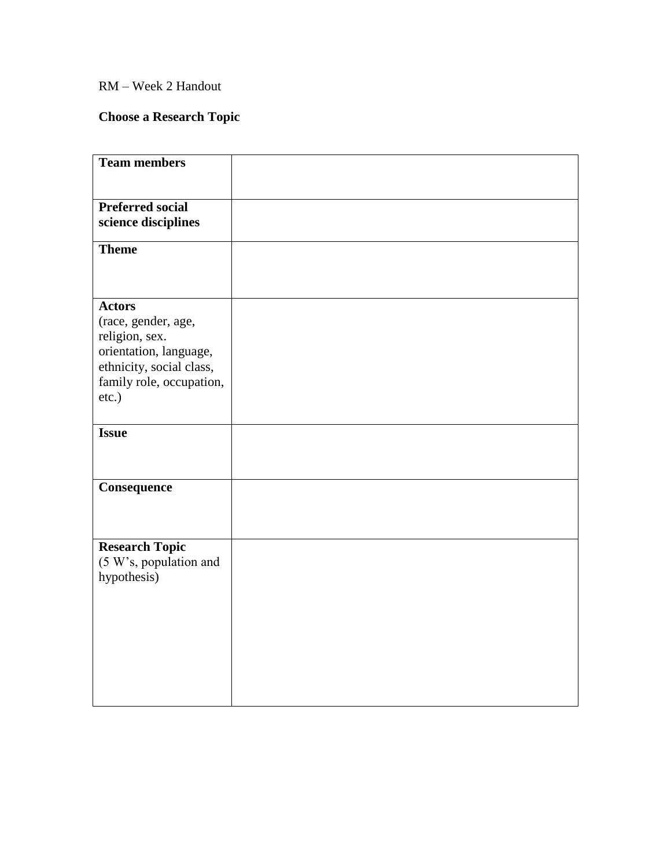## RM – Week 2 Handout

# **Choose a Research Topic**

| <b>Team members</b>                   |  |
|---------------------------------------|--|
|                                       |  |
| <b>Preferred social</b>               |  |
| science disciplines                   |  |
| <b>Theme</b>                          |  |
|                                       |  |
|                                       |  |
| <b>Actors</b>                         |  |
| (race, gender, age,<br>religion, sex. |  |
| orientation, language,                |  |
| ethnicity, social class,              |  |
| family role, occupation,<br>etc.)     |  |
|                                       |  |
| <b>Issue</b>                          |  |
|                                       |  |
|                                       |  |
| Consequence                           |  |
|                                       |  |
|                                       |  |
| <b>Research Topic</b>                 |  |
| (5 W's, population and<br>hypothesis) |  |
|                                       |  |
|                                       |  |
|                                       |  |
|                                       |  |
|                                       |  |
|                                       |  |
|                                       |  |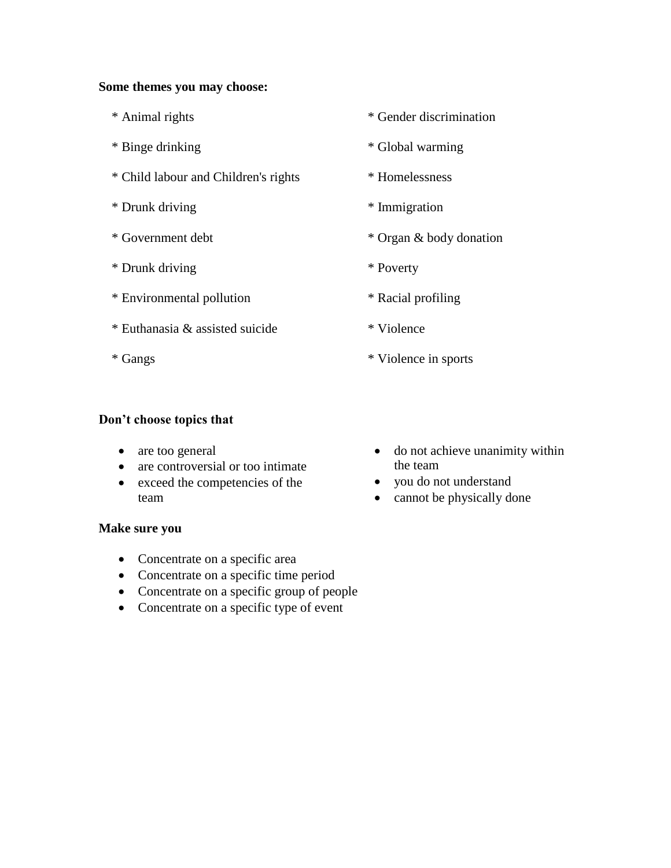#### **Some themes you may choose:**

- \* Animal rights
- \* Binge drinking
- \* Child labour and Children's rights
- \* Drunk driving
- \* Government debt
- \* Drunk driving
- \* Environmental pollution
- \* Euthanasia & assisted suicide
- \* Gangs
- \* Gender discrimination
- \* Global warming
- \* Homelessness
- \* Immigration
- \* Organ & body donation
- \* Poverty
- \* Racial profiling
- \* Violence
- \* Violence in sports

### **Don't choose topics that**

- are too general
- are controversial or too intimate
- exceed the competencies of the team
- **Make sure you**
	- Concentrate on a specific area
	- Concentrate on a specific time period
	- Concentrate on a specific group of people
	- Concentrate on a specific type of event
- do not achieve unanimity within the team
- you do not understand
- cannot be physically done